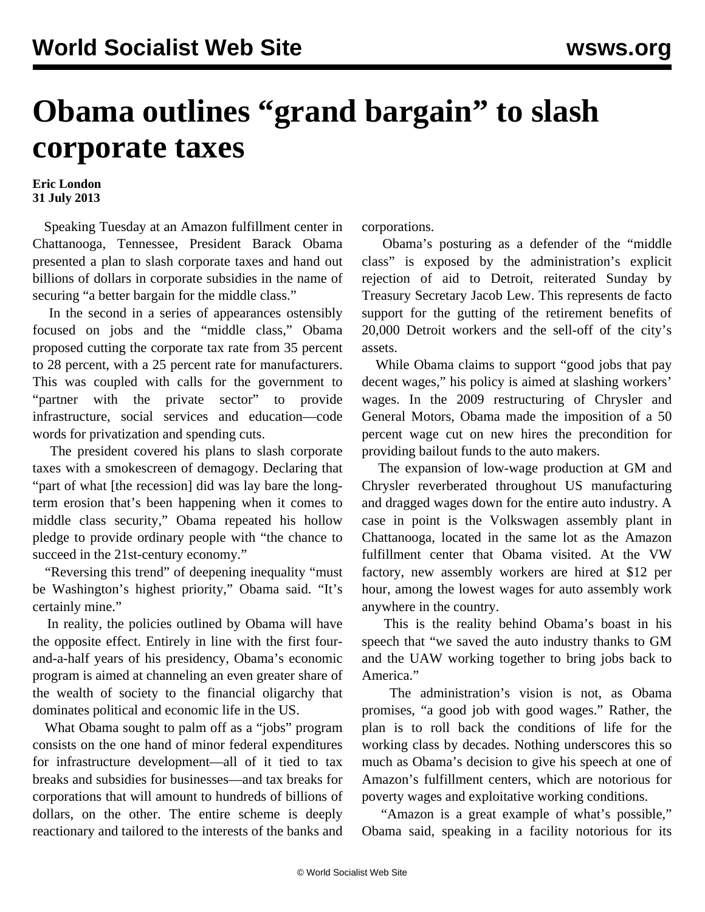## **Obama outlines "grand bargain" to slash corporate taxes**

## **Eric London 31 July 2013**

 Speaking Tuesday at an Amazon fulfillment center in Chattanooga, Tennessee, President Barack Obama presented a plan to slash corporate taxes and hand out billions of dollars in corporate subsidies in the name of securing "a better bargain for the middle class."

 In the second in a series of appearances ostensibly focused on jobs and the "middle class," Obama proposed cutting the corporate tax rate from 35 percent to 28 percent, with a 25 percent rate for manufacturers. This was coupled with calls for the government to "partner with the private sector" to provide infrastructure, social services and education—code words for privatization and spending cuts.

 The president covered his plans to slash corporate taxes with a smokescreen of demagogy. Declaring that "part of what [the recession] did was lay bare the longterm erosion that's been happening when it comes to middle class security," Obama repeated his hollow pledge to provide ordinary people with "the chance to succeed in the 21st-century economy."

 "Reversing this trend" of deepening inequality "must be Washington's highest priority," Obama said. "It's certainly mine."

 In reality, the policies outlined by Obama will have the opposite effect. Entirely in line with the first fourand-a-half years of his presidency, Obama's economic program is aimed at channeling an even greater share of the wealth of society to the financial oligarchy that dominates political and economic life in the US.

 What Obama sought to palm off as a "jobs" program consists on the one hand of minor federal expenditures for infrastructure development—all of it tied to tax breaks and subsidies for businesses—and tax breaks for corporations that will amount to hundreds of billions of dollars, on the other. The entire scheme is deeply reactionary and tailored to the interests of the banks and

corporations.

 Obama's posturing as a defender of the "middle class" is exposed by the administration's explicit rejection of aid to Detroit, reiterated Sunday by Treasury Secretary Jacob Lew. This represents de facto support for the gutting of the retirement benefits of 20,000 Detroit workers and the sell-off of the city's assets.

 While Obama claims to support "good jobs that pay decent wages," his policy is aimed at slashing workers' wages. In the 2009 restructuring of Chrysler and General Motors, Obama made the imposition of a 50 percent wage cut on new hires the precondition for providing bailout funds to the auto makers.

 The expansion of low-wage production at GM and Chrysler reverberated throughout US manufacturing and dragged wages down for the entire auto industry. A case in point is the Volkswagen assembly plant in Chattanooga, located in the same lot as the Amazon fulfillment center that Obama visited. At the VW factory, new assembly workers are hired at \$12 per hour, among the lowest wages for auto assembly work anywhere in the country.

 This is the reality behind Obama's boast in his speech that "we saved the auto industry thanks to GM and the UAW working together to bring jobs back to America."

 The administration's vision is not, as Obama promises, "a good job with good wages." Rather, the plan is to roll back the conditions of life for the working class by decades. Nothing underscores this so much as Obama's decision to give his speech at one of Amazon's fulfillment centers, which are notorious for poverty wages and exploitative working conditions.

 "Amazon is a great example of what's possible," Obama said, speaking in a facility notorious for its